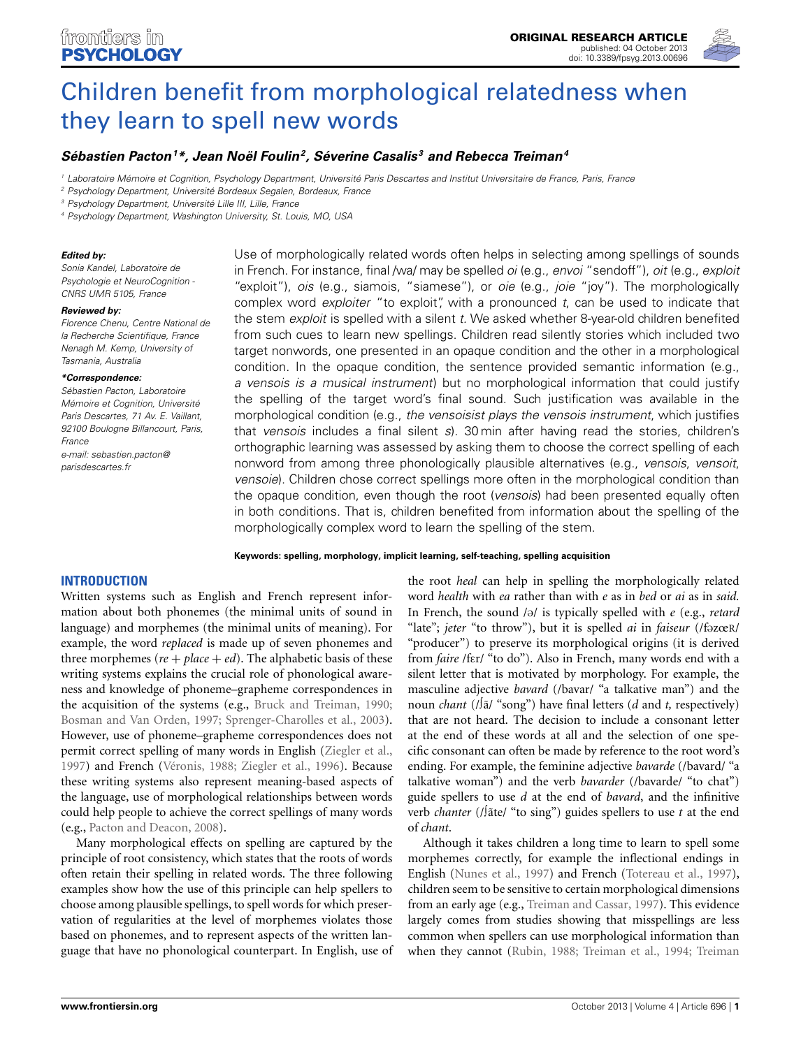

# [Children benefit from morphological relatedness when](http://www.frontiersin.org/Cognitive_Science/10.3389/fpsyg.2013.00696/abstract) they learn to spell new words

# *[Sébastien Pacton](http://www.frontiersin.org/Community/WhosWhoActivity.aspx?sname=SebastienPacton&UID=72579)1 \*, [Jean Noël Foulin](http://www.frontiersin.org/Community/WhosWhoActivity.aspx?sname=JEAN_NOELFOULIN&UID=71516)2, [Séverine Casalis](http://www.frontiersin.org/Community/WhosWhoActivity.aspx?sname=S�verineCasalis&UID=31319) <sup>3</sup> and [Rebecca Treiman](http://www.frontiersin.org/Community/WhosWhoActivity.aspx?sname=RebeccaTreiman&UID=103901)4*

*<sup>1</sup> Laboratoire Mémoire et Cognition, Psychology Department, Université Paris Descartes and Institut Universitaire de France, Paris, France*

*<sup>2</sup> Psychology Department, Université Bordeaux Segalen, Bordeaux, France*

*<sup>3</sup> Psychology Department, Université Lille III, Lille, France*

*<sup>4</sup> Psychology Department, Washington University, St. Louis, MO, USA*

#### *Edited by:*

*Sonia Kandel, Laboratoire de Psychologie et NeuroCognition - CNRS UMR 5105, France*

#### *Reviewed by:*

*Florence Chenu, Centre National de la Recherche Scientifique, France Nenagh M. Kemp, University of Tasmania, Australia*

#### *\*Correspondence:*

*Sébastien Pacton, Laboratoire Mémoire et Cognition, Université Paris Descartes, 71 Av. E. Vaillant, 92100 Boulogne Billancourt, Paris, France e-mail: [sebastien.pacton@](mailto:sebastien.pacton@parisdescartes.fr) [parisdescartes.fr](mailto:sebastien.pacton@parisdescartes.fr)*

Use of morphologically related words often helps in selecting among spellings of sounds in French. For instance, final /wa/ may be spelled *oi* (e.g., *envoi* "sendoff"), *oit* (e.g., *exploit* "exploit"), *ois* (e.g., siamois, "siamese"), or *oie* (e.g., *joie* "joy"). The morphologically complex word *exploiter* "to exploit", with a pronounced *t*, can be used to indicate that the stem *exploit* is spelled with a silent *t.* We asked whether 8-year-old children benefited from such cues to learn new spellings. Children read silently stories which included two target nonwords, one presented in an opaque condition and the other in a morphological condition. In the opaque condition, the sentence provided semantic information (e.g., *a vensois is a musical instrument*) but no morphological information that could justify the spelling of the target word's final sound. Such justification was available in the morphological condition (e.g., *the vensoisist plays the vensois instrument*, which justifies that *vensois* includes a final silent *s*). 30 min after having read the stories, children's orthographic learning was assessed by asking them to choose the correct spelling of each nonword from among three phonologically plausible alternatives (e.g., *vensois*, *vensoit*, *vensoie*). Children chose correct spellings more often in the morphological condition than the opaque condition, even though the root (*vensois*) had been presented equally often in both conditions. That is, children benefited from information about the spelling of the morphologically complex word to learn the spelling of the stem.

#### **Keywords: spelling, morphology, implicit learning, self-teaching, spelling acquisition**

#### **INTRODUCTION**

Written systems such as English and French represent information about both phonemes (the minimal units of sound in language) and morphemes (the minimal units of meaning). For example, the word *replaced* is made up of seven phonemes and three morphemes ( $re + place + ed$ ). The alphabetic basis of these writing systems explains the crucial role of phonological awareness and knowledge of phoneme–grapheme correspondences in the acquisition of the systems (e.g., [Bruck and Treiman](#page-4-0), [1990;](#page-4-0) [Bosman and Van Orden, 1997;](#page-4-1) [Sprenger-Charolles et al.](#page-5-0), [2003](#page-5-0)). However, use of phoneme–grapheme correspondences does not permit correct spelling of many words in English [\(Ziegler et al.,](#page-5-1) [1997](#page-5-1)) and French [\(Véronis, 1988;](#page-5-2) [Ziegler et al., 1996](#page-5-3)). Because these writing systems also represent meaning-based aspects of the language, use of morphological relationships between words could help people to achieve the correct spellings of many words (e.g., [Pacton and Deacon, 2008\)](#page-5-4).

Many morphological effects on spelling are captured by the principle of root consistency, which states that the roots of words often retain their spelling in related words. The three following examples show how the use of this principle can help spellers to choose among plausible spellings, to spell words for which preservation of regularities at the level of morphemes violates those based on phonemes, and to represent aspects of the written language that have no phonological counterpart. In English, use of

the root *heal* can help in spelling the morphologically related word *health* with *ea* rather than with *e* as in *bed* or *ai* as in *said.* In French, the sound /ə/ is typically spelled with *e* (e.g., *retard* "late"; *jeter* "to throw"), but it is spelled *ai* in *faiseur* (/fazœR/ "producer") to preserve its morphological origins (it is derived from *faire* /fεr/ "to do"). Also in French, many words end with a silent letter that is motivated by morphology. For example, the masculine adjective *bavard* (/bavar/ "a talkative man") and the noun *chant* (*/* $\delta$ */* "song") have final letters (*d* and *t*, respectively) that are not heard. The decision to include a consonant letter at the end of these words at all and the selection of one specific consonant can often be made by reference to the root word's ending. For example, the feminine adjective *bavarde* (/bavard/ "a talkative woman") and the verb *bavarder* (/bavarde/ "to chat") guide spellers to use *d* at the end of *bavard*, and the infinitive verb *chanter* (*/* $\delta$ ate/ "to sing") guides spellers to use *t* at the end of *chant*.

Although it takes children a long time to learn to spell some morphemes correctly, for example the inflectional endings in English [\(Nunes et al., 1997](#page-5-5)) and French [\(Totereau et al.](#page-5-6), [1997](#page-5-6)), children seem to be sensitive to certain morphological dimensions from an early age (e.g., [Treiman and Cassar](#page-5-7), [1997\)](#page-5-7). This evidence largely comes from studies showing that misspellings are less common when spellers can use morphological information than when they cannot [\(Rubin, 1988;](#page-5-8) [Treiman et al.](#page-5-9), [1994](#page-5-9); Treiman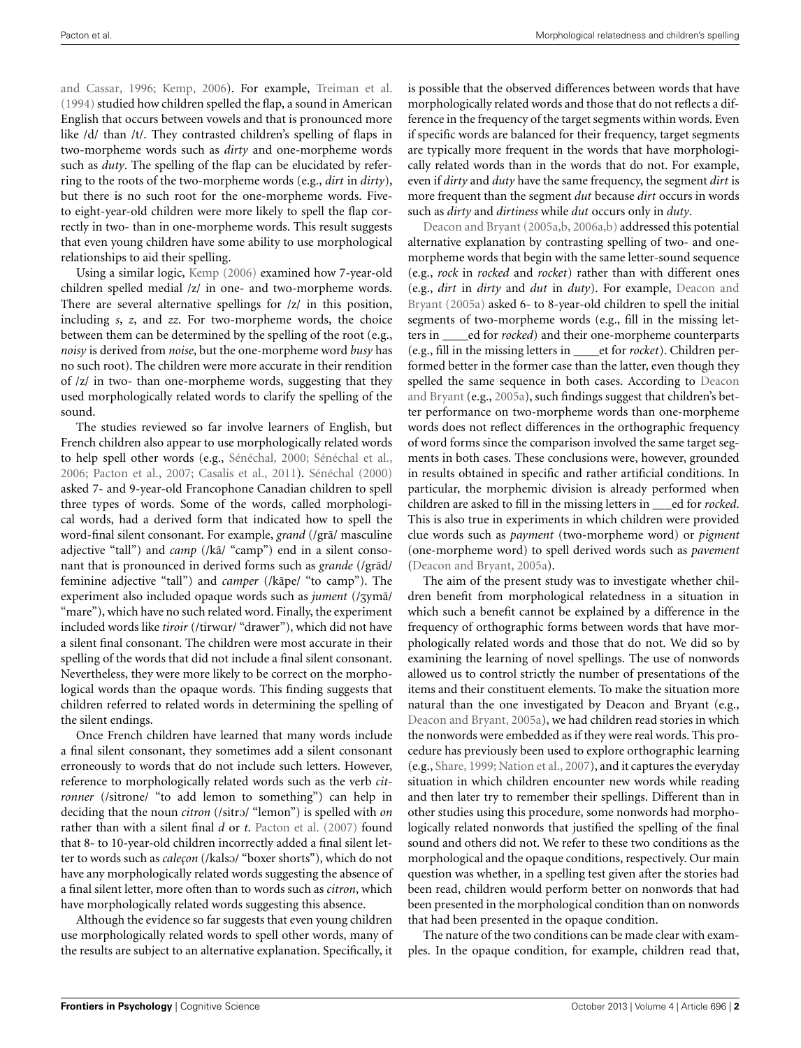and Cassar, [1996;](#page-5-10) [Kemp](#page-4-2), [2006](#page-4-2)). For example, [Treiman et al.](#page-5-9) [\(1994\)](#page-5-9) studied how children spelled the flap, a sound in American English that occurs between vowels and that is pronounced more like /d/ than /t/. They contrasted children's spelling of flaps in two-morpheme words such as *dirty* and one-morpheme words such as *duty*. The spelling of the flap can be elucidated by referring to the roots of the two-morpheme words (e.g., *dirt* in *dirty*), but there is no such root for the one-morpheme words. Fiveto eight-year-old children were more likely to spell the flap correctly in two- than in one-morpheme words. This result suggests that even young children have some ability to use morphological relationships to aid their spelling.

Using a similar logic, [Kemp](#page-4-2) [\(2006](#page-4-2)) examined how 7-year-old children spelled medial /z/ in one- and two-morpheme words. There are several alternative spellings for /z/ in this position, including *s*, *z*, and *zz*. For two-morpheme words, the choice between them can be determined by the spelling of the root (e.g., *noisy* is derived from *noise*, but the one-morpheme word *busy* has no such root). The children were more accurate in their rendition of /z/ in two- than one-morpheme words, suggesting that they used morphologically related words to clarify the spelling of the sound.

The studies reviewed so far involve learners of English, but French children also appear to use morphologically related words to help spell other words (e.g., [Sénéchal](#page-5-11), [2000;](#page-5-11) [Sénéchal et al.](#page-5-12), [2006](#page-5-12); [Pacton et al., 2007;](#page-5-13) [Casalis et al., 2011\)](#page-4-3). [Sénéchal](#page-5-11) [\(2000](#page-5-11)) asked 7- and 9-year-old Francophone Canadian children to spell three types of words. Some of the words, called morphological words, had a derived form that indicated how to spell the word-final silent consonant. For example, *grand* (/grã/ masculine adjective "tall") and *camp* (/kã/ "camp") end in a silent consonant that is pronounced in derived forms such as *grande* (/grãd/ feminine adjective "tall") and *camper* (/kãpe/ "to camp"). The experiment also included opaque words such as *jument* (/zymã/ "mare"), which have no such related word. Finally, the experiment included words like tiroir (/tirwar/ "drawer"), which did not have a silent final consonant. The children were most accurate in their spelling of the words that did not include a final silent consonant. Nevertheless, they were more likely to be correct on the morphological words than the opaque words. This finding suggests that children referred to related words in determining the spelling of the silent endings.

Once French children have learned that many words include a final silent consonant, they sometimes add a silent consonant erroneously to words that do not include such letters. However, reference to morphologically related words such as the verb *citronner* (/sitrone/ "to add lemon to something") can help in deciding that the noun *citron* (/sitro/ "lemon") is spelled with *on* rather than with a silent final *d* or *t*. [Pacton et al.](#page-5-13) [\(2007](#page-5-13)) found that 8- to 10-year-old children incorrectly added a final silent letter to words such as *caleçon* (/kalso/ "boxer shorts"), which do not have any morphologically related words suggesting the absence of a final silent letter, more often than to words such as *citron*, which have morphologically related words suggesting this absence.

Although the evidence so far suggests that even young children use morphologically related words to spell other words, many of the results are subject to an alternative explanation. Specifically, it is possible that the observed differences between words that have morphologically related words and those that do not reflects a difference in the frequency of the target segments within words. Even if specific words are balanced for their frequency, target segments are typically more frequent in the words that have morphologically related words than in the words that do not. For example, even if *dirty* and *duty* have the same frequency, the segment *dirt* is more frequent than the segment *dut* because *dirt* occurs in words [such](#page-4-4) [as](#page-4-4) *dirty* and *dirtiness* while *dut* occurs only in *duty*.

Deacon and Bryant [\(2005a](#page-4-4)[,b](#page-4-5), [2006a](#page-4-6)[,b\)](#page-4-7) addressed this potential alternative explanation by contrasting spelling of two- and onemorpheme words that begin with the same letter-sound sequence (e.g., *rock* in *rocked* and *rocket*) rather than with different ones (e.g., *dirt* in *dirty* and *dut* in *duty*[\). For example,](#page-4-4) Deacon and Bryant [\(2005a](#page-4-4)) asked 6- to 8-year-old children to spell the initial segments of two-morpheme words (e.g., fill in the missing letters in \_\_\_\_ed for *rocked*) and their one-morpheme counterparts (e.g., fill in the missing letters in \_\_\_\_et for *rocket*). Children performed better in the former case than the latter, even though they spelled the [same sequence in both cases. According to](#page-4-4) Deacon and Bryant (e.g., [2005a](#page-4-4)), such findings suggest that children's better performance on two-morpheme words than one-morpheme words does not reflect differences in the orthographic frequency of word forms since the comparison involved the same target segments in both cases. These conclusions were, however, grounded in results obtained in specific and rather artificial conditions. In particular, the morphemic division is already performed when children are asked to fill in the missing letters in \_\_\_ed for *rocked*. This is also true in experiments in which children were provided clue words such as *payment* (two-morpheme word) or *pigment* (one-morpheme word) to spell derived words such as *pavement* [\(Deacon and Bryant](#page-4-4), [2005a\)](#page-4-4).

The aim of the present study was to investigate whether children benefit from morphological relatedness in a situation in which such a benefit cannot be explained by a difference in the frequency of orthographic forms between words that have morphologically related words and those that do not. We did so by examining the learning of novel spellings. The use of nonwords allowed us to control strictly the number of presentations of the items and their constituent elements. To make the situation more natural than the one investigated by Deacon and Bryant (e.g., [Deacon and Bryant](#page-4-4), [2005a\)](#page-4-4), we had children read stories in which the nonwords were embedded as if they were real words. This procedure has previously been used to explore orthographic learning (e.g., [Share, 1999;](#page-5-14) [Nation et al.](#page-5-15), [2007\)](#page-5-15), and it captures the everyday situation in which children encounter new words while reading and then later try to remember their spellings. Different than in other studies using this procedure, some nonwords had morphologically related nonwords that justified the spelling of the final sound and others did not. We refer to these two conditions as the morphological and the opaque conditions, respectively. Our main question was whether, in a spelling test given after the stories had been read, children would perform better on nonwords that had been presented in the morphological condition than on nonwords that had been presented in the opaque condition.

The nature of the two conditions can be made clear with examples. In the opaque condition, for example, children read that,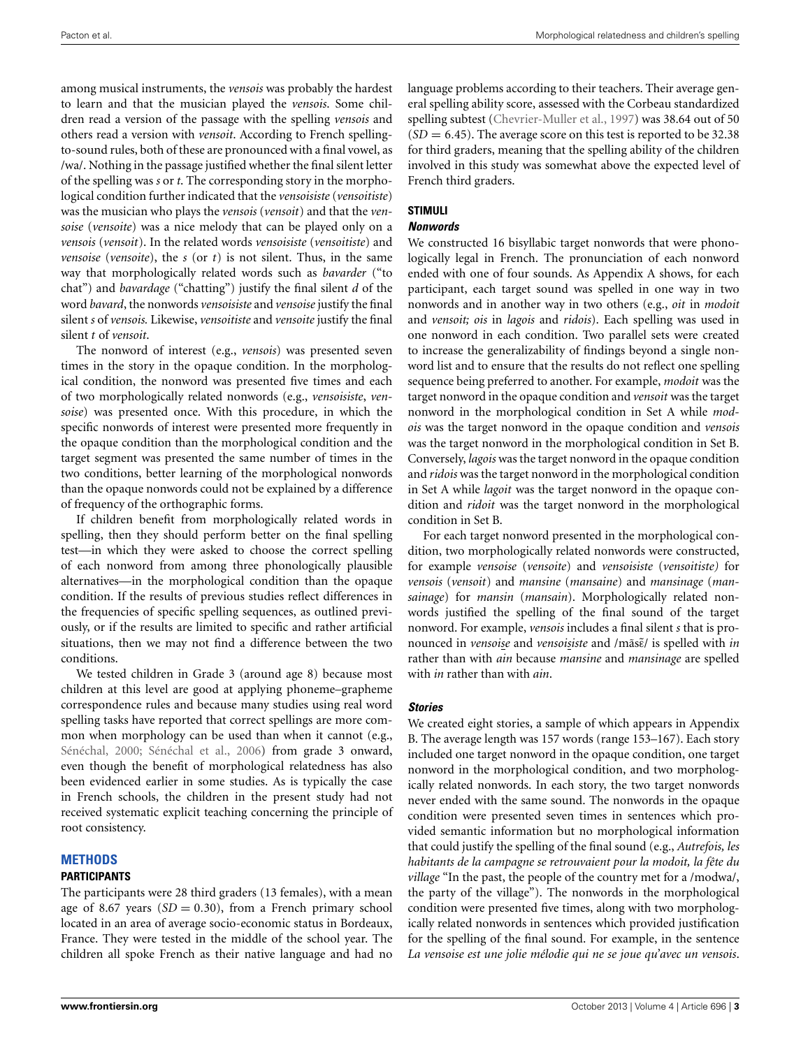among musical instruments, the *vensois* was probably the hardest to learn and that the musician played the *vensois*. Some children read a version of the passage with the spelling *vensois* and others read a version with *vensoit*. According to French spellingto-sound rules, both of these are pronounced with a final vowel, as /wa/. Nothing in the passage justified whether the final silent letter of the spelling was *s* or *t*. The corresponding story in the morphological condition further indicated that the *vensoisiste* (*vensoitiste*) was the musician who plays the *vensois* (*vensoit*) and that the *vensoise* (*vensoite*) was a nice melody that can be played only on a *vensois* (*vensoit*). In the related words *vensoisiste* (*vensoitiste*) and *vensoise* (*vensoite*), the *s* (or *t*) is not silent. Thus, in the same way that morphologically related words such as *bavarder* ("to chat") and *bavardage* ("chatting") justify the final silent *d* of the word *bavard*, the nonwords *vensoisiste* and *vensoise*justify the final silent *s* of *vensois.* Likewise, *vensoitiste* and *vensoite* justify the final silent *t* of *vensoit*.

The nonword of interest (e.g., *vensois*) was presented seven times in the story in the opaque condition. In the morphological condition, the nonword was presented five times and each of two morphologically related nonwords (e.g., *vensoisiste*, *vensoise*) was presented once. With this procedure, in which the specific nonwords of interest were presented more frequently in the opaque condition than the morphological condition and the target segment was presented the same number of times in the two conditions, better learning of the morphological nonwords than the opaque nonwords could not be explained by a difference of frequency of the orthographic forms.

If children benefit from morphologically related words in spelling, then they should perform better on the final spelling test—in which they were asked to choose the correct spelling of each nonword from among three phonologically plausible alternatives—in the morphological condition than the opaque condition. If the results of previous studies reflect differences in the frequencies of specific spelling sequences, as outlined previously, or if the results are limited to specific and rather artificial situations, then we may not find a difference between the two conditions.

We tested children in Grade 3 (around age 8) because most children at this level are good at applying phoneme–grapheme correspondence rules and because many studies using real word spelling tasks have reported that correct spellings are more common when morphology can be used than when it cannot (e.g., [Sénéchal](#page-5-11), [2000;](#page-5-11) [Sénéchal et al., 2006](#page-5-12)) from grade 3 onward, even though the benefit of morphological relatedness has also been evidenced earlier in some studies. As is typically the case in French schools, the children in the present study had not received systematic explicit teaching concerning the principle of root consistency.

# **METHODS**

#### **PARTICIPANTS**

The participants were 28 third graders (13 females), with a mean age of 8.67 years  $(SD = 0.30)$ , from a French primary school located in an area of average socio-economic status in Bordeaux, France. They were tested in the middle of the school year. The children all spoke French as their native language and had no

language problems according to their teachers. Their average general spelling ability score, assessed with the Corbeau standardized spelling subtest [\(Chevrier-Muller et al., 1997\)](#page-4-8) was 38.64 out of 50  $(SD = 6.45)$ . The average score on this test is reported to be 32.38 for third graders, meaning that the spelling ability of the children involved in this study was somewhat above the expected level of French third graders.

# **STIMULI**

## *Nonwords*

We constructed 16 bisyllabic target nonwords that were phonologically legal in French. The pronunciation of each nonword ended with one of four sounds. As Appendix A shows, for each participant, each target sound was spelled in one way in two nonwords and in another way in two others (e.g., *oit* in *modoit* and *vensoit; ois* in *lagois* and *ridois*). Each spelling was used in one nonword in each condition. Two parallel sets were created to increase the generalizability of findings beyond a single nonword list and to ensure that the results do not reflect one spelling sequence being preferred to another. For example, *modoit* was the target nonword in the opaque condition and *vensoit* was the target nonword in the morphological condition in Set A while *modois* was the target nonword in the opaque condition and *vensois* was the target nonword in the morphological condition in Set B. Conversely, *lagois* was the target nonword in the opaque condition and *ridois* was the target nonword in the morphological condition in Set A while *lagoit* was the target nonword in the opaque condition and *ridoit* was the target nonword in the morphological condition in Set B.

For each target nonword presented in the morphological condition, two morphologically related nonwords were constructed, for example *vensoise* (*vensoite*) and *vensoisiste* (*vensoitiste)* for *vensois* (*vensoit*) and *mansine* (*mansaine*) and *mansinage* (*mansainage*) for *mansin* (*mansain*). Morphologically related nonwords justified the spelling of the final sound of the target nonword. For example, *vensois* includes a final silent *s* that is pronounced in *vensoise* and *vensoisiste* and /mãsε̃/ is spelled with *in* rather than with *ain* because *mansine* and *mansinage* are spelled with *in* rather than with *ain*.

#### *Stories*

We created eight stories, a sample of which appears in Appendix B. The average length was 157 words (range 153–167). Each story included one target nonword in the opaque condition, one target nonword in the morphological condition, and two morphologically related nonwords. In each story, the two target nonwords never ended with the same sound. The nonwords in the opaque condition were presented seven times in sentences which provided semantic information but no morphological information that could justify the spelling of the final sound (e.g., *Autrefois, les habitants de la campagne se retrouvaient pour la modoit, la fête du village* "In the past, the people of the country met for a /modwa/, the party of the village"). The nonwords in the morphological condition were presented five times, along with two morphologically related nonwords in sentences which provided justification for the spelling of the final sound. For example, in the sentence *La vensoise est une jolie mélodie qui ne se joue qu'avec un vensois*.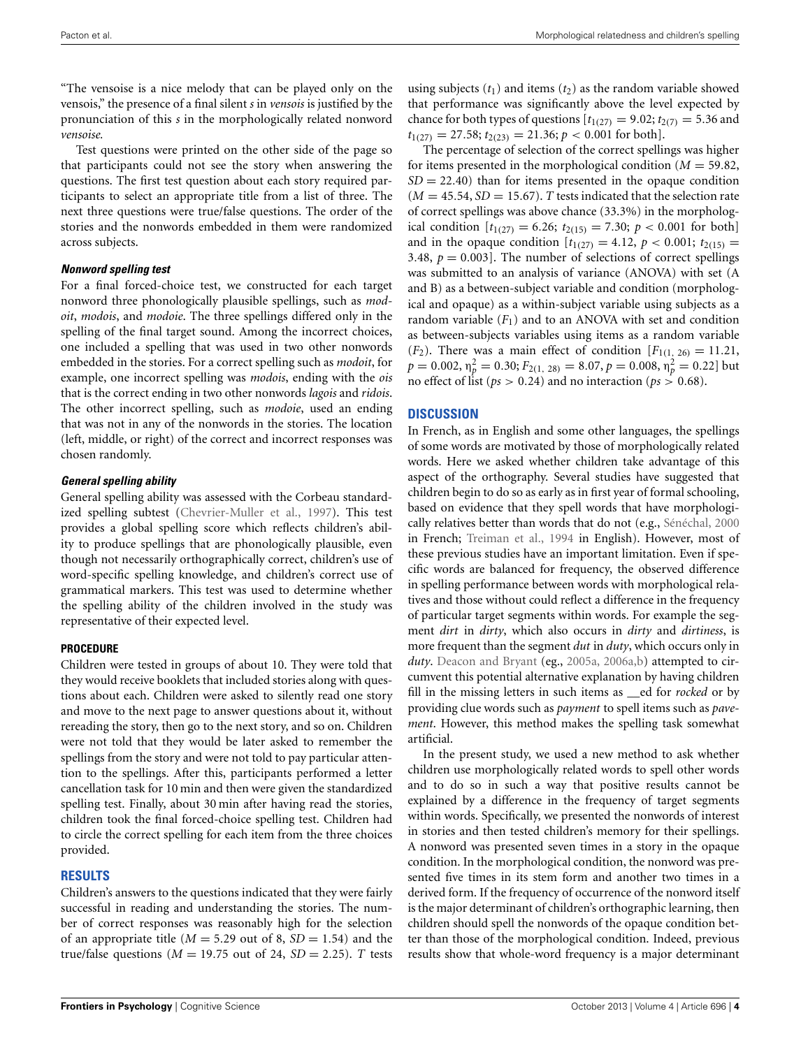"The vensoise is a nice melody that can be played only on the vensois," the presence of a final silent *s* in *vensois* is justified by the pronunciation of this *s* in the morphologically related nonword *vensoise.*

Test questions were printed on the other side of the page so that participants could not see the story when answering the questions. The first test question about each story required participants to select an appropriate title from a list of three. The next three questions were true/false questions. The order of the stories and the nonwords embedded in them were randomized across subjects.

#### *Nonword spelling test*

For a final forced-choice test, we constructed for each target nonword three phonologically plausible spellings, such as *modoit*, *modois*, and *modoie*. The three spellings differed only in the spelling of the final target sound. Among the incorrect choices, one included a spelling that was used in two other nonwords embedded in the stories. For a correct spelling such as *modoit*, for example, one incorrect spelling was *modois*, ending with the *ois* that is the correct ending in two other nonwords *lagois* and *ridois*. The other incorrect spelling, such as *modoie*, used an ending that was not in any of the nonwords in the stories. The location (left, middle, or right) of the correct and incorrect responses was chosen randomly.

#### *General spelling ability*

General spelling ability was assessed with the Corbeau standardized spelling subtest [\(Chevrier-Muller et al.](#page-4-8), [1997\)](#page-4-8). This test provides a global spelling score which reflects children's ability to produce spellings that are phonologically plausible, even though not necessarily orthographically correct, children's use of word-specific spelling knowledge, and children's correct use of grammatical markers. This test was used to determine whether the spelling ability of the children involved in the study was representative of their expected level.

#### **PROCEDURE**

Children were tested in groups of about 10. They were told that they would receive booklets that included stories along with questions about each. Children were asked to silently read one story and move to the next page to answer questions about it, without rereading the story, then go to the next story, and so on. Children were not told that they would be later asked to remember the spellings from the story and were not told to pay particular attention to the spellings. After this, participants performed a letter cancellation task for 10 min and then were given the standardized spelling test. Finally, about 30 min after having read the stories, children took the final forced-choice spelling test. Children had to circle the correct spelling for each item from the three choices provided.

#### **RESULTS**

Children's answers to the questions indicated that they were fairly successful in reading and understanding the stories. The number of correct responses was reasonably high for the selection of an appropriate title ( $M = 5.29$  out of 8,  $SD = 1.54$ ) and the true/false questions ( $M = 19.75$  out of 24,  $SD = 2.25$ ). *T* tests using subjects  $(t_1)$  and items  $(t_2)$  as the random variable showed that performance was significantly above the level expected by chance for both types of questions  $[t_{1(27)} = 9.02; t_{2(7)} = 5.36$  and  $t_{1(27)} = 27.58$ ;  $t_{2(23)} = 21.36$ ;  $p < 0.001$  for both].

The percentage of selection of the correct spellings was higher for items presented in the morphological condition  $(M = 59.82,$  $SD = 22.40$ ) than for items presented in the opaque condition  $(M = 45.54, SD = 15.67)$ . *T* tests indicated that the selection rate of correct spellings was above chance (33.3%) in the morphological condition  $[t_{1(27)} = 6.26; t_{2(15)} = 7.30; p < 0.001$  for both] and in the opaque condition  $[t_{1(27)} = 4.12, p < 0.001; t_{2(15)} =$ 3.48,  $p = 0.003$ . The number of selections of correct spellings was submitted to an analysis of variance (ANOVA) with set (A and B) as a between-subject variable and condition (morphological and opaque) as a within-subject variable using subjects as a random variable  $(F_1)$  and to an ANOVA with set and condition as between-subjects variables using items as a random variable  $(F_2)$ . There was a main effect of condition  $[F_{1(1, 26)} = 11.21$ ,  $p = 0.002, \eta_p^2 = 0.30; F_{2(1, 28)} = 8.07, p = 0.008, \eta_p^2 = 0.22$  but no effect of list ( $ps > 0.24$ ) and no interaction ( $ps > 0.68$ ).

### **DISCUSSION**

In French, as in English and some other languages, the spellings of some words are motivated by those of morphologically related words. Here we asked whether children take advantage of this aspect of the orthography. Several studies have suggested that children begin to do so as early as in first year of formal schooling, based on evidence that they spell words that have morphologically relatives better than words that do not (e.g., [Sénéchal, 2000](#page-5-11) in French; [Treiman et al.](#page-5-9), [1994](#page-5-9) in English). However, most of these previous studies have an important limitation. Even if specific words are balanced for frequency, the observed difference in spelling performance between words with morphological relatives and those without could reflect a difference in the frequency of particular target segments within words. For example the segment *dirt* in *dirty*, which also occurs in *dirty* and *dirtiness*, is more frequent than the segment *dut* in *duty*, which occurs only in *duty*. [Deacon and Bryant](#page-4-4) (eg., [2005a,](#page-4-4) [2006a](#page-4-6),b) attempted to circumvent this potential alternative explanation by having children fill in the missing letters in such items as \_\_ed for *rocked* or by providing clue words such as *payment* to spell items such as *pavement*. However, this method makes the spelling task somewhat artificial.

In the present study, we used a new method to ask whether children use morphologically related words to spell other words and to do so in such a way that positive results cannot be explained by a difference in the frequency of target segments within words. Specifically, we presented the nonwords of interest in stories and then tested children's memory for their spellings. A nonword was presented seven times in a story in the opaque condition. In the morphological condition, the nonword was presented five times in its stem form and another two times in a derived form. If the frequency of occurrence of the nonword itself is the major determinant of children's orthographic learning, then children should spell the nonwords of the opaque condition better than those of the morphological condition. Indeed, previous results show that whole-word frequency is a major determinant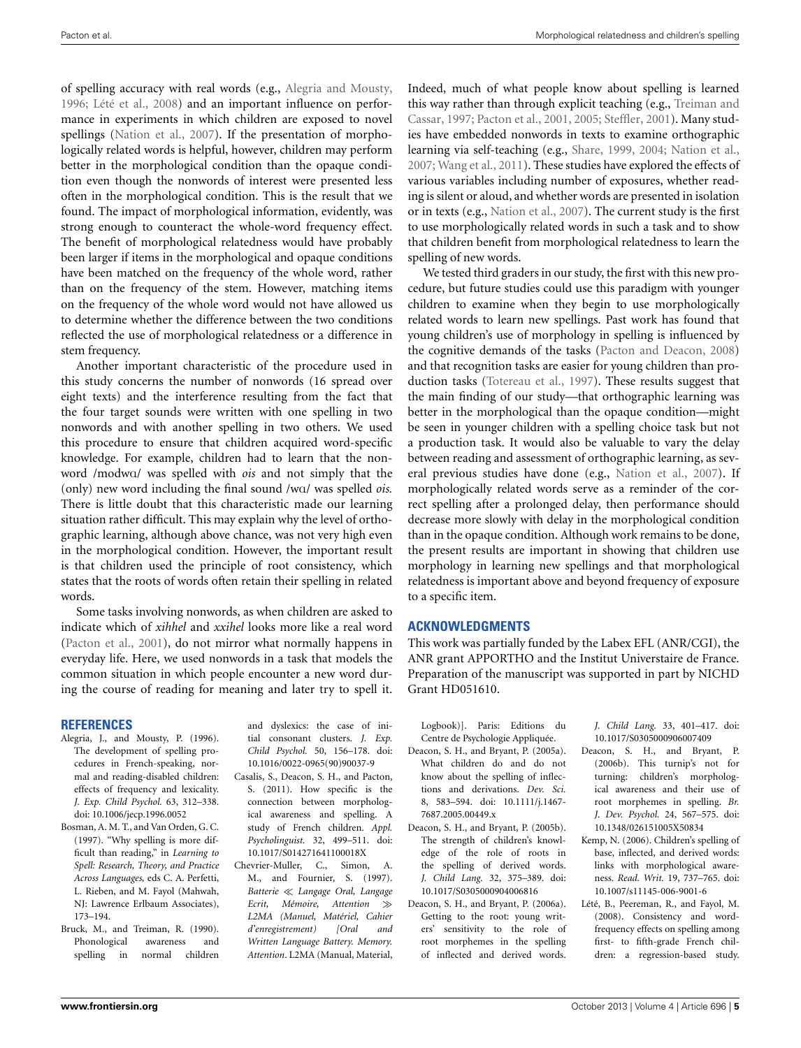of spelling accuracy with real words (e.g., [Alegria and Mousty,](#page-4-9) [1996](#page-4-9); [Lété et al.](#page-4-10), [2008](#page-4-10)) and an important influence on performance in experiments in which children are exposed to novel spellings [\(Nation et al.](#page-5-15), [2007](#page-5-15)). If the presentation of morphologically related words is helpful, however, children may perform better in the morphological condition than the opaque condition even though the nonwords of interest were presented less often in the morphological condition. This is the result that we found. The impact of morphological information, evidently, was strong enough to counteract the whole-word frequency effect. The benefit of morphological relatedness would have probably been larger if items in the morphological and opaque conditions have been matched on the frequency of the whole word, rather than on the frequency of the stem. However, matching items on the frequency of the whole word would not have allowed us to determine whether the difference between the two conditions reflected the use of morphological relatedness or a difference in stem frequency.

Another important characteristic of the procedure used in this study concerns the number of nonwords (16 spread over eight texts) and the interference resulting from the fact that the four target sounds were written with one spelling in two nonwords and with another spelling in two others. We used this procedure to ensure that children acquired word-specific knowledge. For example, children had to learn that the nonword /modwA/ was spelled with *ois* and not simply that the (only) new word including the final sound /wa/ was spelled *ois*. There is little doubt that this characteristic made our learning situation rather difficult. This may explain why the level of orthographic learning, although above chance, was not very high even in the morphological condition. However, the important result is that children used the principle of root consistency, which states that the roots of words often retain their spelling in related words.

Some tasks involving nonwords, as when children are asked to indicate which of *xihhel* and *xxihel* looks more like a real word [\(Pacton et al.](#page-5-16), [2001](#page-5-16)), do not mirror what normally happens in everyday life. Here, we used nonwords in a task that models the common situation in which people encounter a new word during the course of reading for meaning and later try to spell it.

#### **REFERENCES**

- <span id="page-4-9"></span>Alegria, J., and Mousty, P. (1996). The development of spelling procedures in French-speaking, normal and reading-disabled children: effects of frequency and lexicality. *J. Exp. Child Psychol.* 63, 312–338. doi: 10.1006/jecp.1996.0052
- <span id="page-4-1"></span>Bosman, A. M. T., and Van Orden, G. C. (1997). "Why spelling is more difficult than reading," in *Learning to Spell: Research, Theory, and Practice Across Languages,* eds C. A. Perfetti, L. Rieben, and M. Fayol (Mahwah, NJ: Lawrence Erlbaum Associates), 173–194.
- <span id="page-4-0"></span>Bruck, M., and Treiman, R. (1990). Phonological awareness and spelling in normal children

and dyslexics: the case of initial consonant clusters. *J. Exp. Child Psychol.* 50, 156–178. doi: 10.1016/0022-0965(90)90037-9

- <span id="page-4-3"></span>Casalis, S., Deacon, S. H., and Pacton, S. (2011). How specific is the connection between morphological awareness and spelling. A study of French children. *Appl. Psycholinguist.* 32, 499–511. doi: 10.1017/S014271641100018X
- <span id="page-4-8"></span>Chevrier-Muller, C., Simon, A. M., and Fournier, S. (1997). *Batterie* - *Langage Oral, Langage Ecrit, Mémoire, Attention L2MA (Manuel, Matériel, Cahier d'enregistrement) [Oral and Written Language Battery. Memory. Attention*. L2MA (Manual, Material,

Indeed, much of what people know about spelling is learned this w[ay](#page-5-7) [rather](#page-5-7) [than](#page-5-7) [through](#page-5-7) [explicit](#page-5-7) [teaching](#page-5-7) [\(e.g.,](#page-5-7) Treiman and Cassar, [1997](#page-5-7); [Pacton et al.](#page-5-16), [2001,](#page-5-16) [2005](#page-5-17); [Steffler](#page-5-18), [2001\)](#page-5-18). Many studies have embedded nonwords in texts to examine orthographic learning via self-teaching (e.g., [Share](#page-5-14), [1999,](#page-5-14) [2004;](#page-5-19) [Nation et al.,](#page-5-15) [2007](#page-5-15); [Wang et al., 2011\)](#page-5-20). These studies have explored the effects of various variables including number of exposures, whether reading is silent or aloud, and whether words are presented in isolation or in texts (e.g., [Nation et al.](#page-5-15), [2007](#page-5-15)). The current study is the first to use morphologically related words in such a task and to show that children benefit from morphological relatedness to learn the spelling of new words.

We tested third graders in our study, the first with this new procedure, but future studies could use this paradigm with younger children to examine when they begin to use morphologically related words to learn new spellings. Past work has found that young children's use of morphology in spelling is influenced by the cognitive demands of the tasks [\(Pacton and Deacon](#page-5-4), [2008](#page-5-4)) and that recognition tasks are easier for young children than production tasks [\(Totereau et al.](#page-5-6), [1997](#page-5-6)). These results suggest that the main finding of our study—that orthographic learning was better in the morphological than the opaque condition—might be seen in younger children with a spelling choice task but not a production task. It would also be valuable to vary the delay between reading and assessment of orthographic learning, as several previous studies have done (e.g., [Nation et al., 2007\)](#page-5-15). If morphologically related words serve as a reminder of the correct spelling after a prolonged delay, then performance should decrease more slowly with delay in the morphological condition than in the opaque condition. Although work remains to be done, the present results are important in showing that children use morphology in learning new spellings and that morphological relatedness is important above and beyond frequency of exposure to a specific item.

#### **ACKNOWLEDGMENTS**

This work was partially funded by the Labex EFL (ANR/CGI), the ANR grant APPORTHO and the Institut Universtaire de France. Preparation of the manuscript was supported in part by NICHD Grant HD051610.

Logbook)]. Paris: Editions du Centre de Psychologie Appliquée.

- <span id="page-4-4"></span>Deacon, S. H., and Bryant, P. (2005a). What children do and do not know about the spelling of inflections and derivations. *Dev. Sci.* 8, 583–594. doi: 10.1111/j.1467- 7687.2005.00449.x
- <span id="page-4-5"></span>Deacon, S. H., and Bryant, P. (2005b). The strength of children's knowledge of the role of roots in the spelling of derived words. *J. Child Lang.* 32, 375–389. doi: 10.1017/S0305000904006816
- <span id="page-4-6"></span>Deacon, S. H., and Bryant, P. (2006a). Getting to the root: young writers' sensitivity to the role of root morphemes in the spelling of inflected and derived words.

*J. Child Lang.* 33, 401–417. doi: 10.1017/S0305000906007409

- <span id="page-4-7"></span>Deacon, S. H., and Bryant, P. (2006b). This turnip's not for turning: children's morphological awareness and their use of root morphemes in spelling. *Br. J. Dev. Psychol.* 24, 567–575. doi: 10.1348/026151005X50834
- <span id="page-4-2"></span>Kemp, N. (2006). Children's spelling of base, inflected, and derived words: links with morphological awareness. *Read. Writ.* 19, 737–765. doi: 10.1007/s11145-006-9001-6
- <span id="page-4-10"></span>Lété, B., Peereman, R., and Fayol, M. (2008). Consistency and wordfrequency effects on spelling among first- to fifth-grade French children: a regression-based study.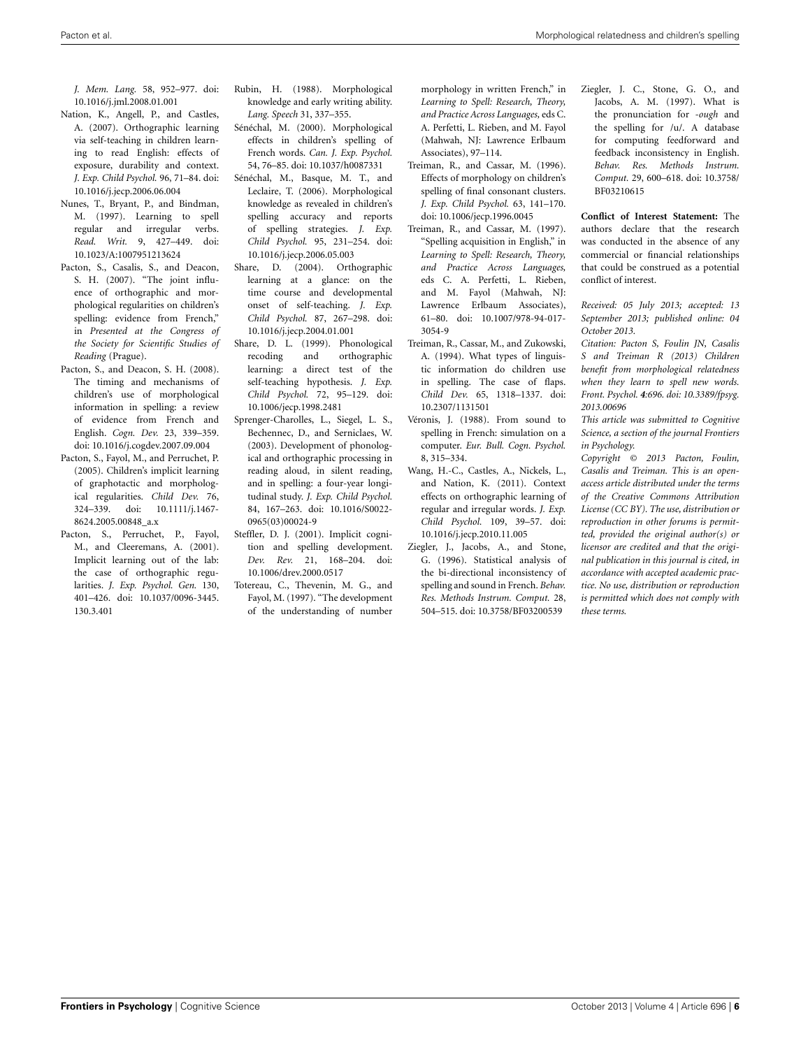*J. Mem. Lang.* 58, 952–977. doi: 10.1016/j.jml.2008.01.001

- <span id="page-5-15"></span>Nation, K., Angell, P., and Castles, A. (2007). Orthographic learning via self-teaching in children learning to read English: effects of exposure, durability and context. *J. Exp. Child Psychol.* 96, 71–84. doi: 10.1016/j.jecp.2006.06.004
- <span id="page-5-5"></span>Nunes, T., Bryant, P., and Bindman, M. (1997). Learning to spell regular and irregular verbs. *Read. Writ.* 9, 427–449. doi: 10.1023/A:1007951213624
- <span id="page-5-13"></span>Pacton, S., Casalis, S., and Deacon, S. H. (2007). "The joint influence of orthographic and morphological regularities on children's spelling: evidence from French," in *Presented at the Congress of the Society for Scientific Studies of Reading* (Prague).
- <span id="page-5-4"></span>Pacton, S., and Deacon, S. H. (2008). The timing and mechanisms of children's use of morphological information in spelling: a review of evidence from French and English. *Cogn. Dev.* 23, 339–359. doi: 10.1016/j.cogdev.2007.09.004
- <span id="page-5-17"></span>Pacton, S., Fayol, M., and Perruchet, P. (2005). Children's implicit learning of graphotactic and morphological regularities. *Child Dev.* 76, 324–339. doi: 10.1111/j.1467- 8624.2005.00848\_a.x
- <span id="page-5-16"></span>Pacton, S., Perruchet, P., Fayol, M., and Cleeremans, A. (2001). Implicit learning out of the lab: the case of orthographic regularities. *J. Exp. Psychol. Gen.* 130, 401–426. doi: 10.1037/0096-3445. 130.3.401
- <span id="page-5-8"></span>Rubin, H. (1988). Morphological knowledge and early writing ability. *Lang. Speech* 31, 337–355.
- <span id="page-5-11"></span>Sénéchal, M. (2000). Morphological effects in children's spelling of French words. *Can. J. Exp. Psychol.* 54, 76–85. doi: 10.1037/h0087331
- <span id="page-5-12"></span>Sénéchal, M., Basque, M. T., and Leclaire, T. (2006). Morphological knowledge as revealed in children's spelling accuracy and reports of spelling strategies. *J. Exp. Child Psychol.* 95, 231–254. doi: 10.1016/j.jecp.2006.05.003
- <span id="page-5-19"></span>Share, D. (2004). Orthographic learning at a glance: on the time course and developmental onset of self-teaching. *J. Exp. Child Psychol.* 87, 267–298. doi: 10.1016/j.jecp.2004.01.001
- <span id="page-5-14"></span>Share, D. L. (1999). Phonological recoding and orthographic learning: a direct test of the self-teaching hypothesis. *J. Exp. Child Psychol.* 72, 95–129. doi: 10.1006/jecp.1998.2481
- <span id="page-5-0"></span>Sprenger-Charolles, L., Siegel, L. S., Bechennec, D., and Serniclaes, W. (2003). Development of phonological and orthographic processing in reading aloud, in silent reading, and in spelling: a four-year longitudinal study. *J. Exp. Child Psychol.* 84, 167–263. doi: 10.1016/S0022- 0965(03)00024-9
- <span id="page-5-18"></span>Steffler, D. J. (2001). Implicit cognition and spelling development. *Dev. Rev.* 21, 168–204. doi: 10.1006/drev.2000.0517
- <span id="page-5-6"></span>Totereau, C., Thevenin, M. G., and Fayol, M. (1997). "The development of the understanding of number

morphology in written French," in *Learning to Spell: Research, Theory, and Practice Across Languages,* eds C. A. Perfetti, L. Rieben, and M. Fayol (Mahwah, NJ: Lawrence Erlbaum Associates), 97–114.

- <span id="page-5-10"></span>Treiman, R., and Cassar, M. (1996). Effects of morphology on children's spelling of final consonant clusters. *J. Exp. Child Psychol.* 63, 141–170. doi: 10.1006/jecp.1996.0045
- <span id="page-5-7"></span>Treiman, R., and Cassar, M. (1997). "Spelling acquisition in English," in *Learning to Spell: Research, Theory, and Practice Across Languages,* eds C. A. Perfetti, L. Rieben, and M. Fayol (Mahwah, NJ: Lawrence Erlbaum Associates), 61–80. doi: 10.1007/978-94-017- 3054-9
- <span id="page-5-9"></span>Treiman, R., Cassar, M., and Zukowski, A. (1994). What types of linguistic information do children use in spelling. The case of flaps. *Child Dev.* 65, 1318–1337. doi: 10.2307/1131501
- <span id="page-5-2"></span>Véronis, J. (1988). From sound to spelling in French: simulation on a computer. *Eur. Bull. Cogn. Psychol.* 8, 315–334.
- <span id="page-5-20"></span>Wang, H.-C., Castles, A., Nickels, L., and Nation, K. (2011). Context effects on orthographic learning of regular and irregular words. *J. Exp. Child Psychol.* 109, 39–57. doi: 10.1016/j.jecp.2010.11.005
- <span id="page-5-3"></span>Ziegler, J., Jacobs, A., and Stone, G. (1996). Statistical analysis of the bi-directional inconsistency of spelling and sound in French. *Behav. Res. Methods Instrum. Comput.* 28, 504–515. doi: 10.3758/BF03200539

<span id="page-5-1"></span>Ziegler, J. C., Stone, G. O., and Jacobs, A. M. (1997). What is the pronunciation for -*ough* and the spelling for /u/. A database for computing feedforward and feedback inconsistency in English. *Behav. Res. Methods Instrum. Comput.* 29, 600–618. doi: 10.3758/ BF03210615

**Conflict of Interest Statement:** The authors declare that the research was conducted in the absence of any commercial or financial relationships that could be construed as a potential conflict of interest.

*Received: 05 July 2013; accepted: 13 September 2013; published online: 04 October 2013.*

*Citation: Pacton S, Foulin JN, Casalis S and Treiman R (2013) Children benefit from morphological relatedness when they learn to spell new words. Front. Psychol. 4:696. doi: [10.3389/fpsyg.](http://dx.doi.org/10.3389/fpsyg.2013.00696) [2013.00696](http://dx.doi.org/10.3389/fpsyg.2013.00696)*

*This article was submitted to Cognitive Science, a section of the journal Frontiers in Psychology.*

*Copyright © 2013 Pacton, Foulin, Casalis and Treiman. This is an openaccess article distributed under the terms of the [Creative Commons Attribution](http://creativecommons.org/licenses/by/3.0/) [License \(CC BY\).](http://creativecommons.org/licenses/by/3.0/) The use, distribution or reproduction in other forums is permitted, provided the original author(s) or licensor are credited and that the original publication in this journal is cited, in accordance with accepted academic practice. No use, distribution or reproduction is permitted which does not comply with these terms.*